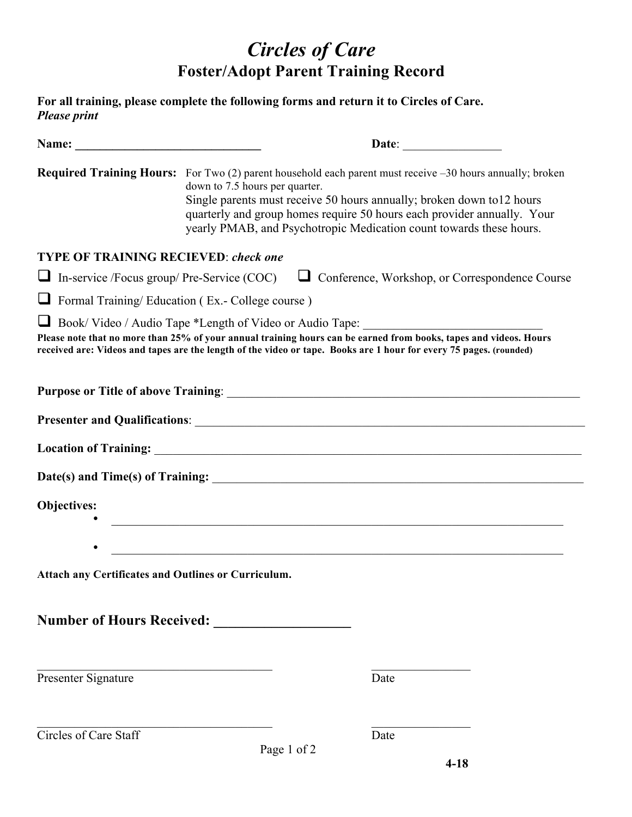## *Circles of Care* **Foster/Adopt Parent Training Record**

| <b>Please print</b>                                     |                                | For all training, please complete the following forms and return it to Circles of Care.                                                                                                                                                                                                                                                         |  |
|---------------------------------------------------------|--------------------------------|-------------------------------------------------------------------------------------------------------------------------------------------------------------------------------------------------------------------------------------------------------------------------------------------------------------------------------------------------|--|
|                                                         |                                |                                                                                                                                                                                                                                                                                                                                                 |  |
|                                                         | down to 7.5 hours per quarter. | <b>Required Training Hours:</b> For Two $(2)$ parent household each parent must receive $-30$ hours annually; broken<br>Single parents must receive 50 hours annually; broken down to12 hours<br>quarterly and group homes require 50 hours each provider annually. Your<br>yearly PMAB, and Psychotropic Medication count towards these hours. |  |
| <b>TYPE OF TRAINING RECIEVED: check one</b>             |                                |                                                                                                                                                                                                                                                                                                                                                 |  |
|                                                         |                                | In-service /Focus group/ Pre-Service (COC) $\Box$ Conference, Workshop, or Correspondence Course                                                                                                                                                                                                                                                |  |
| $\Box$ Formal Training/ Education (Ex.- College course) |                                |                                                                                                                                                                                                                                                                                                                                                 |  |
|                                                         |                                | Book/Video / Audio Tape *Length of Video or Audio Tape: ________________________<br>Please note that no more than 25% of your annual training hours can be earned from books, tapes and videos. Hours<br>received are: Videos and tapes are the length of the video or tape. Books are 1 hour for every 75 pages. (rounded)                     |  |
|                                                         |                                |                                                                                                                                                                                                                                                                                                                                                 |  |
|                                                         |                                |                                                                                                                                                                                                                                                                                                                                                 |  |
|                                                         |                                |                                                                                                                                                                                                                                                                                                                                                 |  |
|                                                         |                                |                                                                                                                                                                                                                                                                                                                                                 |  |
| <b>Objectives:</b>                                      |                                | <u> 1989 - Johann Barn, mars ann an t-Amhainn an t-Amhainn an t-Amhainn an t-Amhainn an t-Amhainn an t-Amhainn an </u>                                                                                                                                                                                                                          |  |
| Attach any Certificates and Outlines or Curriculum.     |                                |                                                                                                                                                                                                                                                                                                                                                 |  |
| Number of Hours Received:                               |                                |                                                                                                                                                                                                                                                                                                                                                 |  |
| Presenter Signature                                     |                                | Date                                                                                                                                                                                                                                                                                                                                            |  |
| Circles of Care Staff                                   |                                | Date                                                                                                                                                                                                                                                                                                                                            |  |
|                                                         | Page 1 of 2                    |                                                                                                                                                                                                                                                                                                                                                 |  |